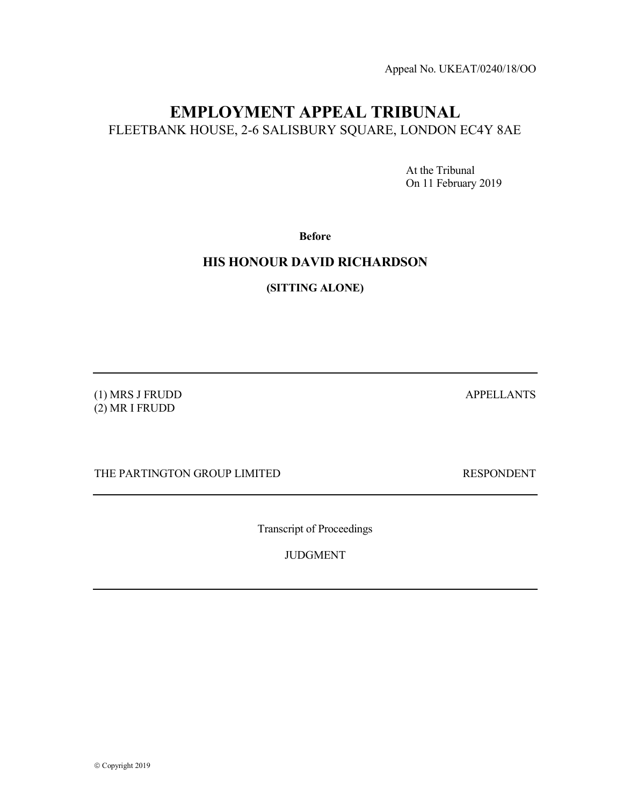Appeal No. UKEAT/0240/18/OO

# EMPLOYMENT APPEAL TRIBUNAL FLEETBANK HOUSE, 2-6 SALISBURY SQUARE, LONDON EC4Y 8AE

 At the Tribunal On 11 February 2019

Before

## HIS HONOUR DAVID RICHARDSON

(SITTING ALONE)

(1) MRS J FRUDD APPELLANTS (2) MR I FRUDD

THE PARTINGTON GROUP LIMITED RESPONDENT

Transcript of Proceedings

JUDGMENT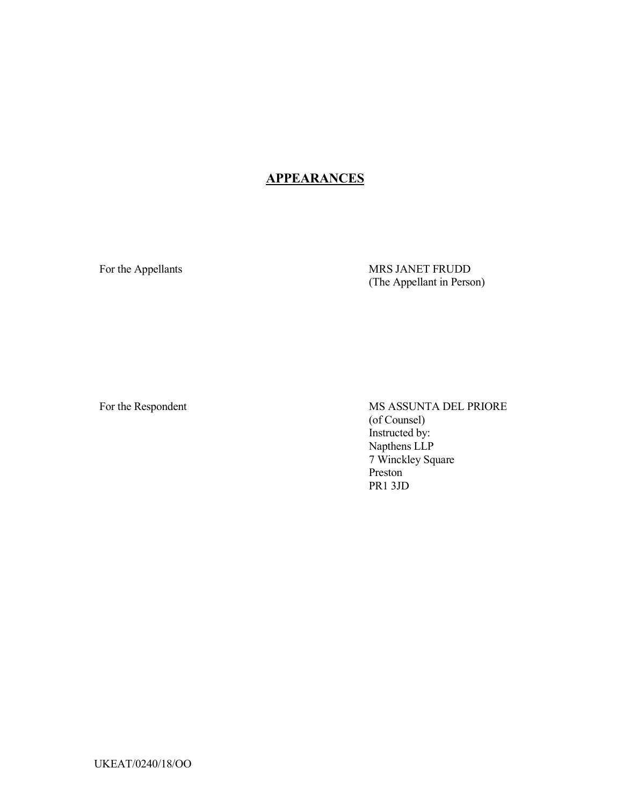## **APPEARANCES**

For the Appellants MRS JANET FRUDD (The Appellant in Person)

For the Respondent MS ASSUNTA DEL PRIORE (of Counsel) Instructed by: Napthens LLP 7 Winckley Square Preston PR1 3JD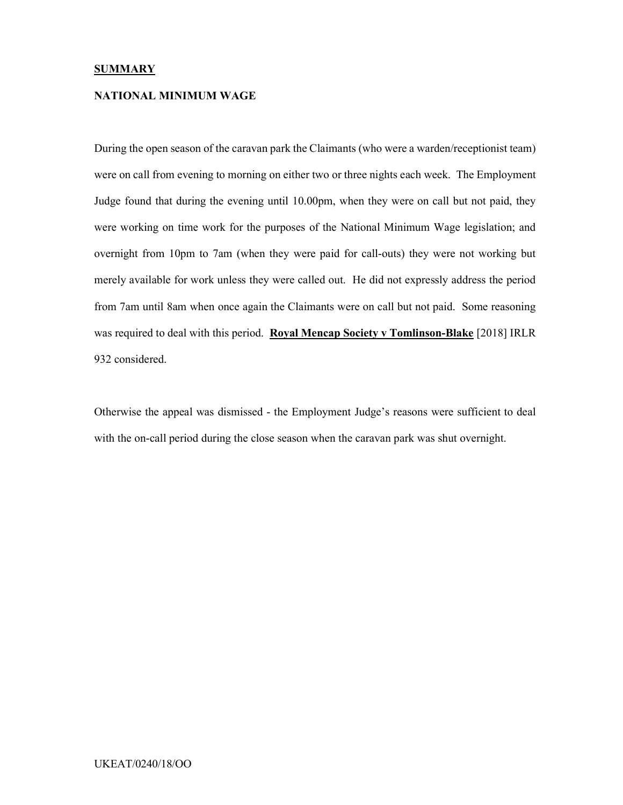#### **SUMMARY**

#### NATIONAL MINIMUM WAGE

During the open season of the caravan park the Claimants (who were a warden/receptionist team) were on call from evening to morning on either two or three nights each week. The Employment Judge found that during the evening until 10.00pm, when they were on call but not paid, they were working on time work for the purposes of the National Minimum Wage legislation; and overnight from 10pm to 7am (when they were paid for call-outs) they were not working but merely available for work unless they were called out. He did not expressly address the period from 7am until 8am when once again the Claimants were on call but not paid. Some reasoning was required to deal with this period. Royal Mencap Society v Tomlinson-Blake [2018] IRLR 932 considered.

Otherwise the appeal was dismissed - the Employment Judge's reasons were sufficient to deal with the on-call period during the close season when the caravan park was shut overnight.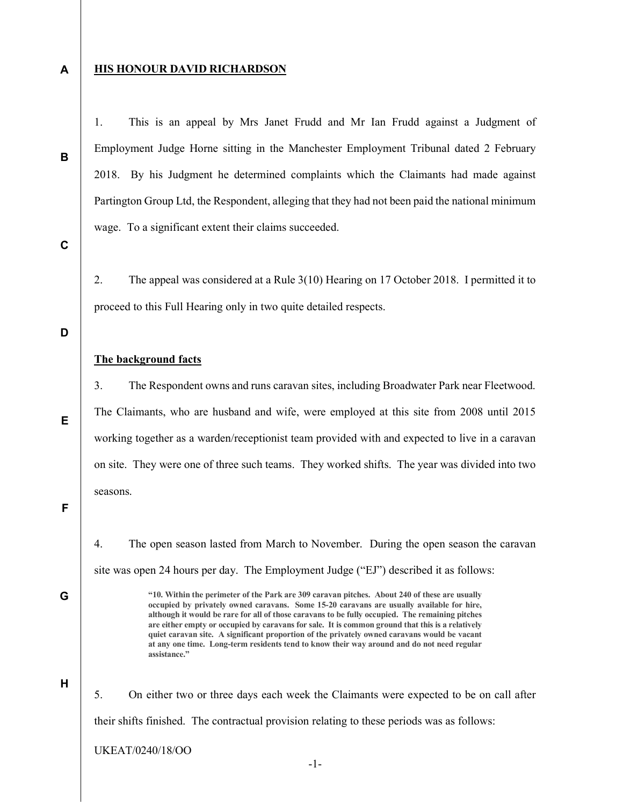A

B

#### **HIS HONOUR DAVID RICHARDSON**

1. This is an appeal by Mrs Janet Frudd and Mr Ian Frudd against a Judgment of Employment Judge Horne sitting in the Manchester Employment Tribunal dated 2 February 2018. By his Judgment he determined complaints which the Claimants had made against Partington Group Ltd, the Respondent, alleging that they had not been paid the national minimum wage. To a significant extent their claims succeeded.

C

2. The appeal was considered at a Rule 3(10) Hearing on 17 October 2018. I permitted it to proceed to this Full Hearing only in two quite detailed respects.

D

E

#### The background facts

3. The Respondent owns and runs caravan sites, including Broadwater Park near Fleetwood. The Claimants, who are husband and wife, were employed at this site from 2008 until 2015 working together as a warden/receptionist team provided with and expected to live in a caravan on site. They were one of three such teams. They worked shifts. The year was divided into two seasons.

F

G

4. The open season lasted from March to November. During the open season the caravan site was open 24 hours per day. The Employment Judge ("EJ") described it as follows:

> "10. Within the perimeter of the Park are 309 caravan pitches. About 240 of these are usually occupied by privately owned caravans. Some 15-20 caravans are usually available for hire, although it would be rare for all of those caravans to be fully occupied. The remaining pitches are either empty or occupied by caravans for sale. It is common ground that this is a relatively quiet caravan site. A significant proportion of the privately owned caravans would be vacant at any one time. Long-term residents tend to know their way around and do not need regular assistance."

H

5. On either two or three days each week the Claimants were expected to be on call after their shifts finished. The contractual provision relating to these periods was as follows: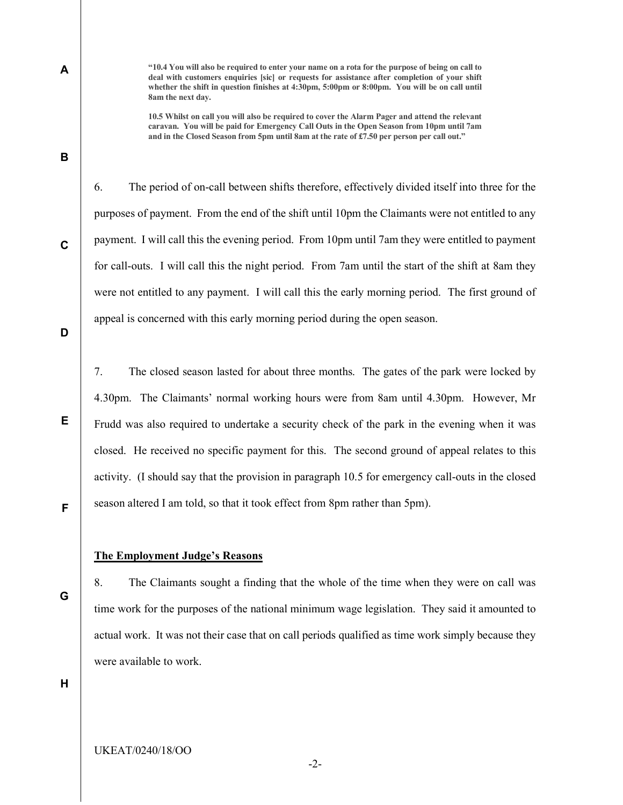"10.4 You will also be required to enter your name on a rota for the purpose of being on call to deal with customers enquiries [sic] or requests for assistance after completion of your shift whether the shift in question finishes at 4:30pm, 5:00pm or 8:00pm. You will be on call until 8am the next day.

10.5 Whilst on call you will also be required to cover the Alarm Pager and attend the relevant caravan. You will be paid for Emergency Call Outs in the Open Season from 10pm until 7am and in the Closed Season from 5pm until 8am at the rate of £7.50 per person per call out."

6. The period of on-call between shifts therefore, effectively divided itself into three for the purposes of payment. From the end of the shift until 10pm the Claimants were not entitled to any payment. I will call this the evening period. From 10pm until 7am they were entitled to payment for call-outs. I will call this the night period. From 7am until the start of the shift at 8am they were not entitled to any payment. I will call this the early morning period. The first ground of appeal is concerned with this early morning period during the open season.

D

E

F

A

B

C

7. The closed season lasted for about three months. The gates of the park were locked by 4.30pm. The Claimants' normal working hours were from 8am until 4.30pm. However, Mr Frudd was also required to undertake a security check of the park in the evening when it was closed. He received no specific payment for this. The second ground of appeal relates to this activity. (I should say that the provision in paragraph 10.5 for emergency call-outs in the closed season altered I am told, so that it took effect from 8pm rather than 5pm).

#### The Employment Judge's Reasons

G

8. The Claimants sought a finding that the whole of the time when they were on call was time work for the purposes of the national minimum wage legislation. They said it amounted to actual work. It was not their case that on call periods qualified as time work simply because they were available to work.

H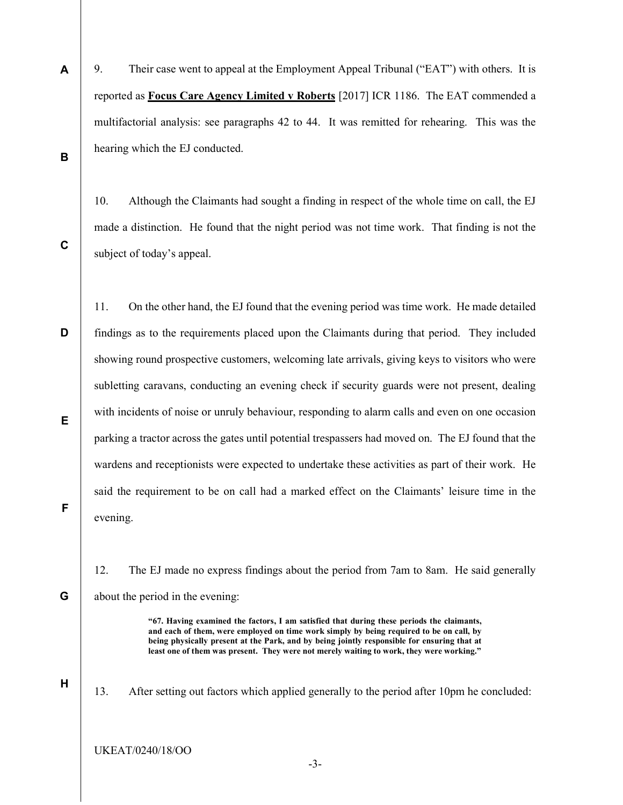9. Their case went to appeal at the Employment Appeal Tribunal ("EAT") with others. It is reported as Focus Care Agency Limited v Roberts [2017] ICR 1186. The EAT commended a multifactorial analysis: see paragraphs 42 to 44. It was remitted for rehearing. This was the hearing which the EJ conducted.

10. Although the Claimants had sought a finding in respect of the whole time on call, the EJ made a distinction. He found that the night period was not time work. That finding is not the subject of today's appeal.

C

A

B

D E F 11. On the other hand, the EJ found that the evening period was time work. He made detailed findings as to the requirements placed upon the Claimants during that period. They included showing round prospective customers, welcoming late arrivals, giving keys to visitors who were subletting caravans, conducting an evening check if security guards were not present, dealing with incidents of noise or unruly behaviour, responding to alarm calls and even on one occasion parking a tractor across the gates until potential trespassers had moved on. The EJ found that the wardens and receptionists were expected to undertake these activities as part of their work. He said the requirement to be on call had a marked effect on the Claimants' leisure time in the evening.

12. The EJ made no express findings about the period from 7am to 8am. He said generally about the period in the evening:

> "67. Having examined the factors, I am satisfied that during these periods the claimants, and each of them, were employed on time work simply by being required to be on call, by being physically present at the Park, and by being jointly responsible for ensuring that at least one of them was present. They were not merely waiting to work, they were working."

H

G

13. After setting out factors which applied generally to the period after 10pm he concluded:

UKEAT/0240/18/OO

-3-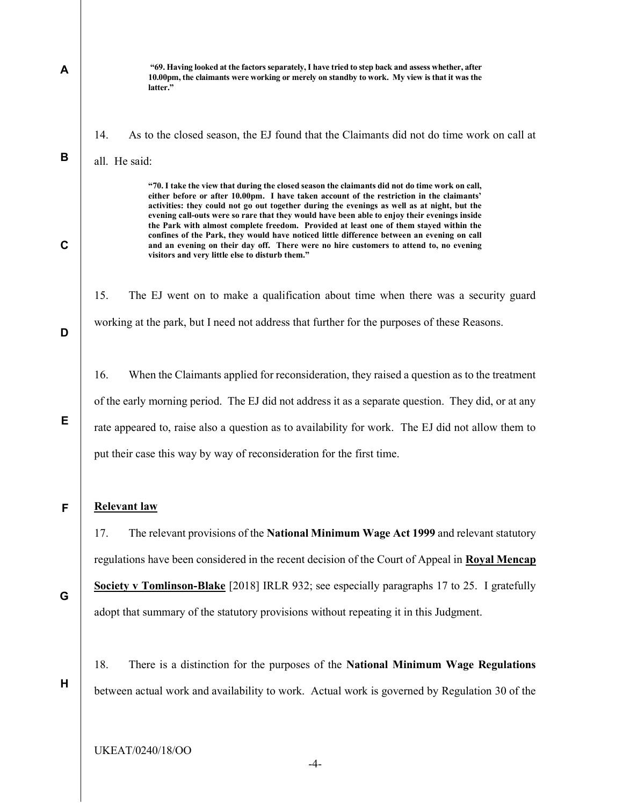A B C D E F G "69. Having looked at the factors separately, I have tried to step back and assess whether, after 10.00pm, the claimants were working or merely on standby to work. My view is that it was the latter." 14. As to the closed season, the EJ found that the Claimants did not do time work on call at all. He said: "70. I take the view that during the closed season the claimants did not do time work on call, either before or after 10.00pm. I have taken account of the restriction in the claimants' activities: they could not go out together during the evenings as well as at night, but the evening call-outs were so rare that they would have been able to enjoy their evenings inside the Park with almost complete freedom. Provided at least one of them stayed within the confines of the Park, they would have noticed little difference between an evening on call and an evening on their day off. There were no hire customers to attend to, no evening visitors and very little else to disturb them." 15. The EJ went on to make a qualification about time when there was a security guard working at the park, but I need not address that further for the purposes of these Reasons. 16. When the Claimants applied for reconsideration, they raised a question as to the treatment of the early morning period. The EJ did not address it as a separate question. They did, or at any rate appeared to, raise also a question as to availability for work. The EJ did not allow them to put their case this way by way of reconsideration for the first time. Relevant law 17. The relevant provisions of the **National Minimum Wage Act 1999** and relevant statutory regulations have been considered in the recent decision of the Court of Appeal in Royal Mencap Society v Tomlinson-Blake [2018] IRLR 932; see especially paragraphs 17 to 25. I gratefully adopt that summary of the statutory provisions without repeating it in this Judgment.

H

18. There is a distinction for the purposes of the National Minimum Wage Regulations between actual work and availability to work. Actual work is governed by Regulation 30 of the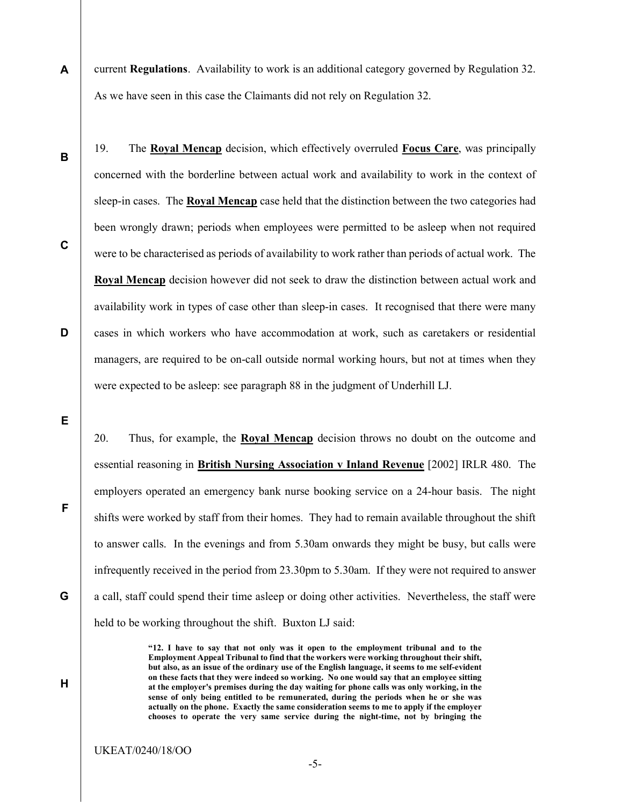- A current Regulations. Availability to work is an additional category governed by Regulation 32. As we have seen in this case the Claimants did not rely on Regulation 32.
	- 19. The Royal Mencap decision, which effectively overruled Focus Care, was principally concerned with the borderline between actual work and availability to work in the context of sleep-in cases. The Royal Mencap case held that the distinction between the two categories had been wrongly drawn; periods when employees were permitted to be asleep when not required were to be characterised as periods of availability to work rather than periods of actual work. The Royal Mencap decision however did not seek to draw the distinction between actual work and availability work in types of case other than sleep-in cases. It recognised that there were many cases in which workers who have accommodation at work, such as caretakers or residential managers, are required to be on-call outside normal working hours, but not at times when they were expected to be asleep: see paragraph 88 in the judgment of Underhill LJ.

E

20. Thus, for example, the Royal Mencap decision throws no doubt on the outcome and essential reasoning in British Nursing Association v Inland Revenue [2002] IRLR 480. The employers operated an emergency bank nurse booking service on a 24-hour basis. The night shifts were worked by staff from their homes. They had to remain available throughout the shift to answer calls. In the evenings and from 5.30am onwards they might be busy, but calls were infrequently received in the period from 23.30pm to 5.30am. If they were not required to answer a call, staff could spend their time asleep or doing other activities. Nevertheless, the staff were held to be working throughout the shift. Buxton LJ said:

> "12. I have to say that not only was it open to the employment tribunal and to the Employment Appeal Tribunal to find that the workers were working throughout their shift, but also, as an issue of the ordinary use of the English language, it seems to me self-evident on these facts that they were indeed so working. No one would say that an employee sitting at the employer's premises during the day waiting for phone calls was only working, in the sense of only being entitled to be remunerated, during the periods when he or she was actually on the phone. Exactly the same consideration seems to me to apply if the employer chooses to operate the very same service during the night-time, not by bringing the

D

C

B

G

F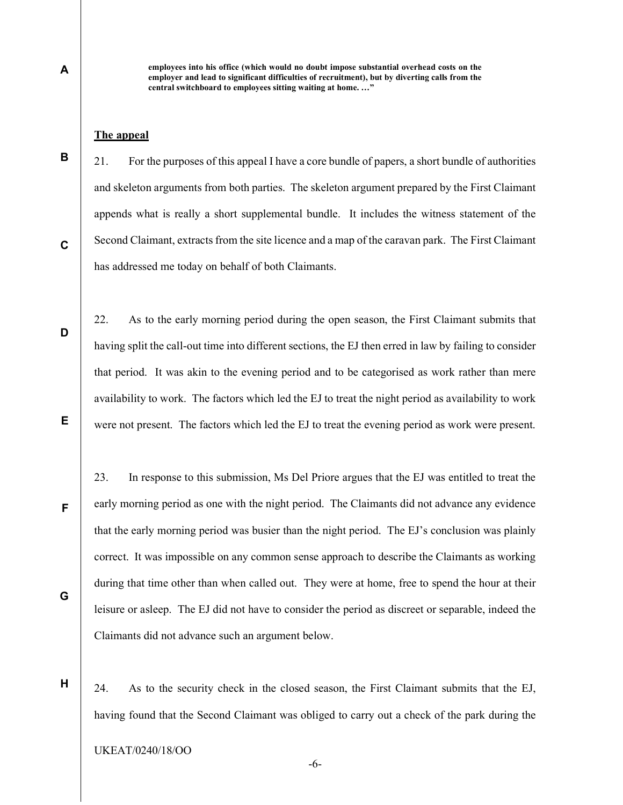employees into his office (which would no doubt impose substantial overhead costs on the employer and lead to significant difficulties of recruitment), but by diverting calls from the central switchboard to employees sitting waiting at home. …"

### The appeal

21. For the purposes of this appeal I have a core bundle of papers, a short bundle of authorities and skeleton arguments from both parties. The skeleton argument prepared by the First Claimant appends what is really a short supplemental bundle. It includes the witness statement of the Second Claimant, extracts from the site licence and a map of the caravan park. The First Claimant has addressed me today on behalf of both Claimants.

22. As to the early morning period during the open season, the First Claimant submits that having split the call-out time into different sections, the EJ then erred in law by failing to consider that period. It was akin to the evening period and to be categorised as work rather than mere availability to work. The factors which led the EJ to treat the night period as availability to work were not present. The factors which led the EJ to treat the evening period as work were present.

23. In response to this submission, Ms Del Priore argues that the EJ was entitled to treat the early morning period as one with the night period. The Claimants did not advance any evidence that the early morning period was busier than the night period. The EJ's conclusion was plainly correct. It was impossible on any common sense approach to describe the Claimants as working during that time other than when called out. They were at home, free to spend the hour at their leisure or asleep. The EJ did not have to consider the period as discreet or separable, indeed the Claimants did not advance such an argument below.

H

24. As to the security check in the closed season, the First Claimant submits that the EJ, having found that the Second Claimant was obliged to carry out a check of the park during the

-6-

C

D

B

A

E

F

G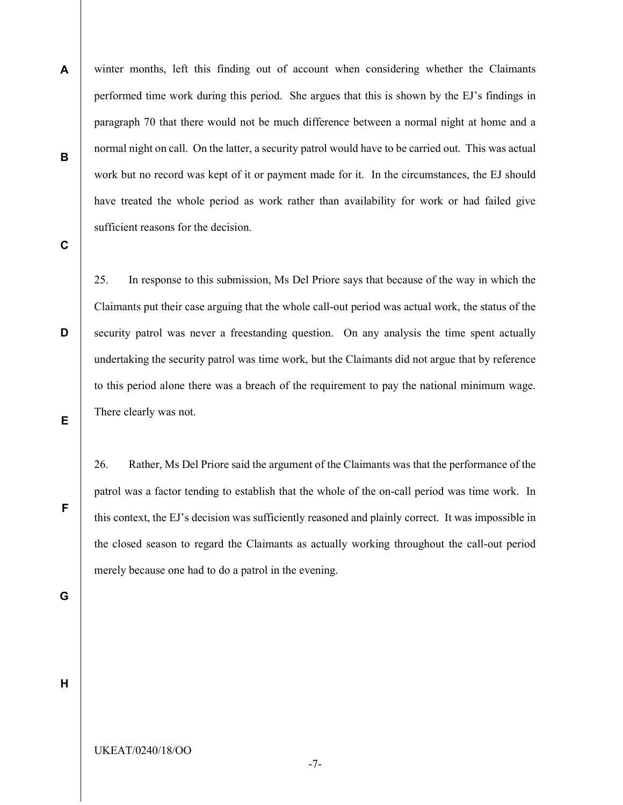winter months, left this finding out of account when considering whether the Claimants performed time work during this period. She argues that this is shown by the EJ's findings in paragraph 70 that there would not be much difference between a normal night at home and a normal night on call. On the latter, a security patrol would have to be carried out. This was actual work but no record was kept of it or payment made for it. In the circumstances, the EJ should have treated the whole period as work rather than availability for work or had failed give sufficient reasons for the decision.

C

D

A

B

25. In response to this submission, Ms Del Priore says that because of the way in which the Claimants put their case arguing that the whole call-out period was actual work, the status of the security patrol was never a freestanding question. On any analysis the time spent actually undertaking the security patrol was time work, but the Claimants did not argue that by reference to this period alone there was a breach of the requirement to pay the national minimum wage. There clearly was not.

E

26. Rather, Ms Del Priore said the argument of the Claimants was that the performance of the patrol was a factor tending to establish that the whole of the on-call period was time work. In this context, the EJ's decision was sufficiently reasoned and plainly correct. It was impossible in the closed season to regard the Claimants as actually working throughout the call-out period merely because one had to do a patrol in the evening.

G

F

H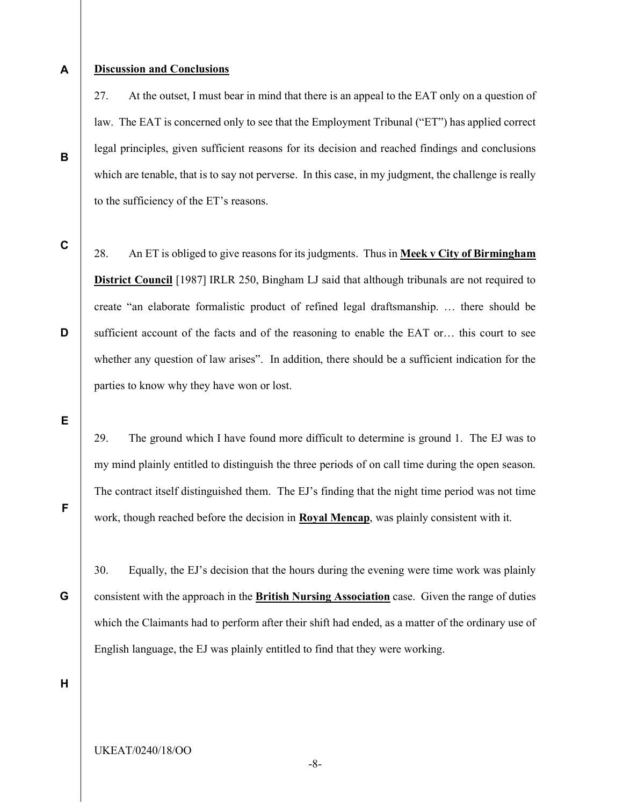A

B

#### Discussion and Conclusions

27. At the outset, I must bear in mind that there is an appeal to the EAT only on a question of law. The EAT is concerned only to see that the Employment Tribunal ("ET") has applied correct legal principles, given sufficient reasons for its decision and reached findings and conclusions which are tenable, that is to say not perverse. In this case, in my judgment, the challenge is really to the sufficiency of the ET's reasons.

C

D

28. An ET is obliged to give reasons for its judgments. Thus in Meek v City of Birmingham District Council [1987] IRLR 250, Bingham LJ said that although tribunals are not required to create "an elaborate formalistic product of refined legal draftsmanship. … there should be sufficient account of the facts and of the reasoning to enable the EAT or… this court to see whether any question of law arises". In addition, there should be a sufficient indication for the parties to know why they have won or lost.

E

29. The ground which I have found more difficult to determine is ground 1. The EJ was to my mind plainly entitled to distinguish the three periods of on call time during the open season. The contract itself distinguished them. The EJ's finding that the night time period was not time work, though reached before the decision in **Royal Mencap**, was plainly consistent with it.

G

F

30. Equally, the EJ's decision that the hours during the evening were time work was plainly consistent with the approach in the British Nursing Association case. Given the range of duties which the Claimants had to perform after their shift had ended, as a matter of the ordinary use of English language, the EJ was plainly entitled to find that they were working.

H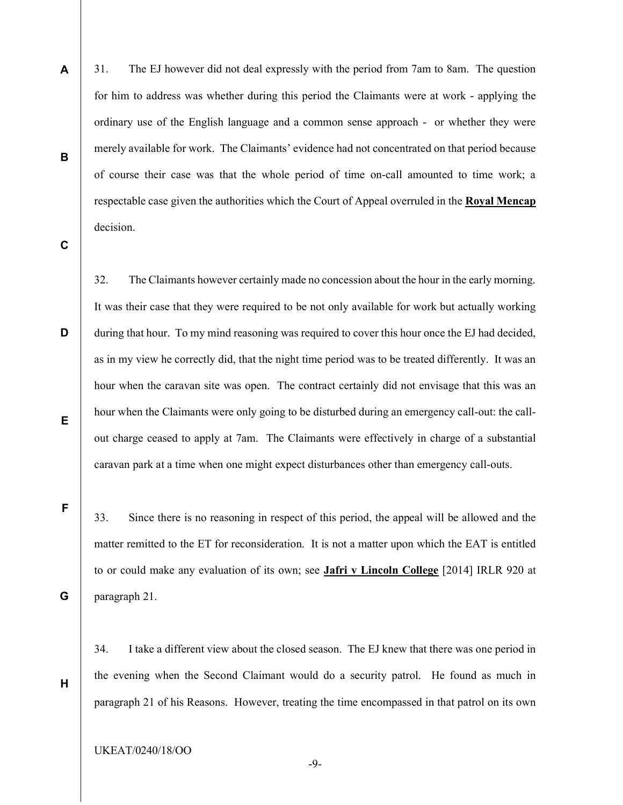31. The EJ however did not deal expressly with the period from 7am to 8am. The question for him to address was whether during this period the Claimants were at work - applying the ordinary use of the English language and a common sense approach - or whether they were merely available for work. The Claimants' evidence had not concentrated on that period because of course their case was that the whole period of time on-call amounted to time work; a respectable case given the authorities which the Court of Appeal overruled in the Royal Mencap decision.

C

D

E

A

B

32. The Claimants however certainly made no concession about the hour in the early morning. It was their case that they were required to be not only available for work but actually working during that hour. To my mind reasoning was required to cover this hour once the EJ had decided, as in my view he correctly did, that the night time period was to be treated differently. It was an hour when the caravan site was open. The contract certainly did not envisage that this was an hour when the Claimants were only going to be disturbed during an emergency call-out: the callout charge ceased to apply at 7am. The Claimants were effectively in charge of a substantial caravan park at a time when one might expect disturbances other than emergency call-outs.

33. Since there is no reasoning in respect of this period, the appeal will be allowed and the matter remitted to the ET for reconsideration. It is not a matter upon which the EAT is entitled to or could make any evaluation of its own; see **Jafri v Lincoln College** [2014] IRLR 920 at paragraph 21.

34. I take a different view about the closed season. The EJ knew that there was one period in the evening when the Second Claimant would do a security patrol. He found as much in paragraph 21 of his Reasons. However, treating the time encompassed in that patrol on its own

-9-

UKEAT/0240/18/OO

F

G

H